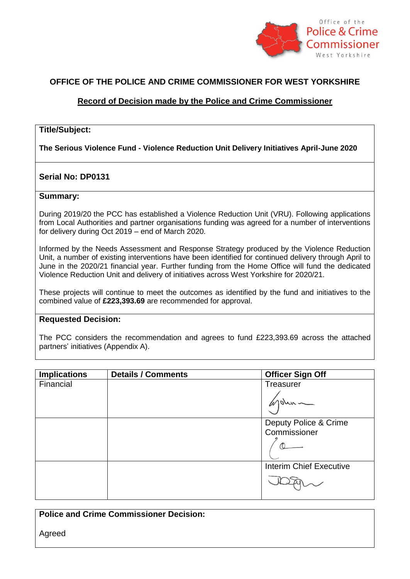

## **OFFICE OF THE POLICE AND CRIME COMMISSIONER FOR WEST YORKSHIRE**

## **Record of Decision made by the Police and Crime Commissioner**

#### **Title/Subject:**

**The Serious Violence Fund - Violence Reduction Unit Delivery Initiatives April-June 2020**

### **Serial No: DP0131**

#### **Summary:**

During 2019/20 the PCC has established a Violence Reduction Unit (VRU). Following applications from Local Authorities and partner organisations funding was agreed for a number of interventions for delivery during Oct 2019 – end of March 2020.

Informed by the Needs Assessment and Response Strategy produced by the Violence Reduction Unit, a number of existing interventions have been identified for continued delivery through April to June in the 2020/21 financial year. Further funding from the Home Office will fund the dedicated Violence Reduction Unit and delivery of initiatives across West Yorkshire for 2020/21.

These projects will continue to meet the outcomes as identified by the fund and initiatives to the combined value of **£223,393.69** are recommended for approval.

#### **Requested Decision:**

The PCC considers the recommendation and agrees to fund £223,393.69 across the attached partners' initiatives (Appendix A).

| <b>Implications</b> | <b>Details / Comments</b> | <b>Officer Sign Off</b>        |
|---------------------|---------------------------|--------------------------------|
| Financial           |                           | <b>Treasurer</b>               |
|                     |                           |                                |
|                     |                           | Deputy Police & Crime          |
|                     |                           | Commissioner                   |
|                     |                           |                                |
|                     |                           | <b>Interim Chief Executive</b> |
|                     |                           |                                |

| <b>Police and Crime Commissioner Decision:</b> |  |
|------------------------------------------------|--|
| Agreed                                         |  |